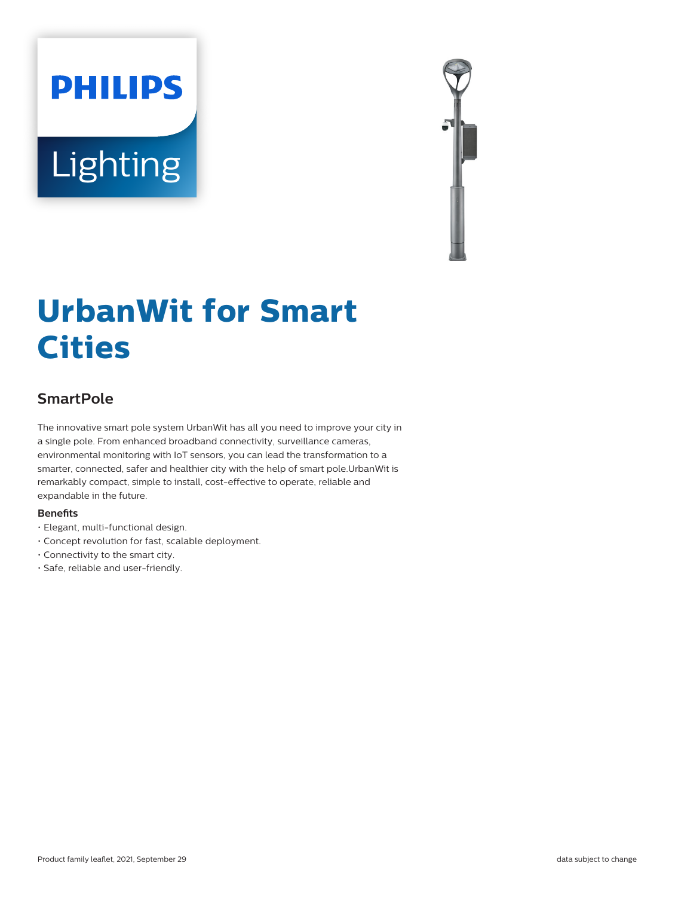# **PHILIPS** Lighting



# **UrbanWit for Smart Cities**

# **SmartPole**

The innovative smart pole system UrbanWit has all you need to improve your city in a single pole. From enhanced broadband connectivity, surveillance cameras, environmental monitoring with IoT sensors, you can lead the transformation to a smarter, connected, safer and healthier city with the help of smart pole.UrbanWit is remarkably compact, simple to install, cost-effective to operate, reliable and expandable in the future.

#### **Benefits**

- Elegant, multi-functional design.
- Concept revolution for fast, scalable deployment.
- Connectivity to the smart city.
- Safe, reliable and user-friendly.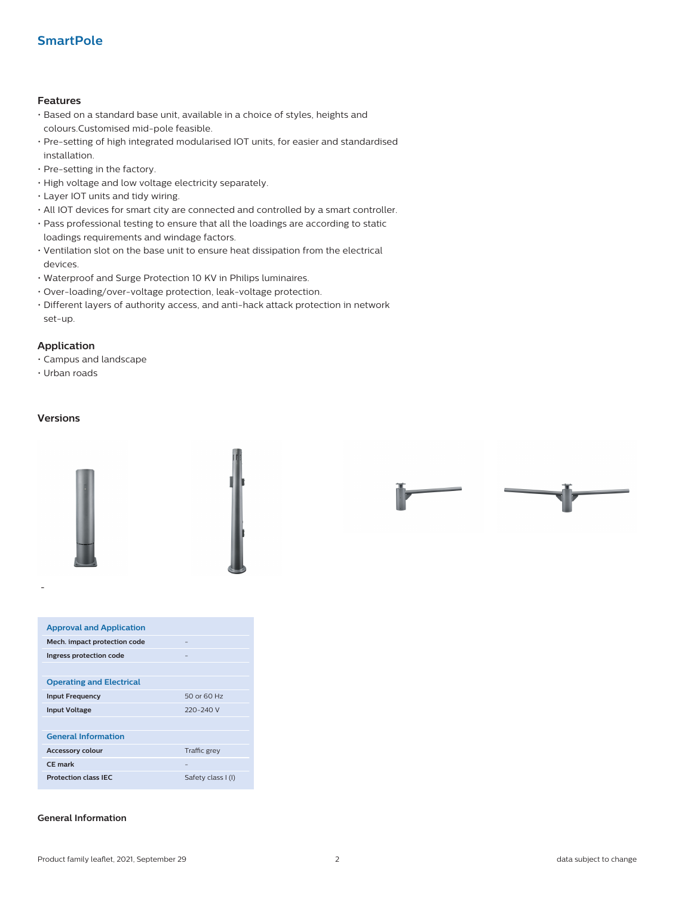## **SmartPole**

#### **Features**

- Based on a standard base unit, available in a choice of styles, heights and colours.Customised mid-pole feasible.
- Pre-setting of high integrated modularised IOT units, for easier and standardised installation.
- Pre-setting in the factory.
- High voltage and low voltage electricity separately.
- Layer IOT units and tidy wiring.
- All IOT devices for smart city are connected and controlled by a smart controller.
- Pass professional testing to ensure that all the loadings are according to static loadings requirements and windage factors.
- Ventilation slot on the base unit to ensure heat dissipation from the electrical devices.
- Waterproof and Surge Protection 10 KV in Philips luminaires.
- Over-loading/over-voltage protection, leak-voltage protection.
- Different layers of authority access, and anti-hack attack protection in network set-up.

#### **Application**

- Campus and landscape
- Urban roads

#### **Versions**

**-**



| <b>Approval and Application</b>   |                    |  |  |  |
|-----------------------------------|--------------------|--|--|--|
| Mech. impact protection code<br>- |                    |  |  |  |
| Ingress protection code           |                    |  |  |  |
|                                   |                    |  |  |  |
| <b>Operating and Electrical</b>   |                    |  |  |  |
| <b>Input Frequency</b>            | 50 or 60 Hz        |  |  |  |
| <b>Input Voltage</b>              | 220-240 V          |  |  |  |
|                                   |                    |  |  |  |
| <b>General Information</b>        |                    |  |  |  |
| <b>Accessory colour</b>           | Traffic grey       |  |  |  |
| <b>CE</b> mark                    | -                  |  |  |  |
| <b>Protection class IEC</b>       | Safety class I (I) |  |  |  |

#### **General Information**